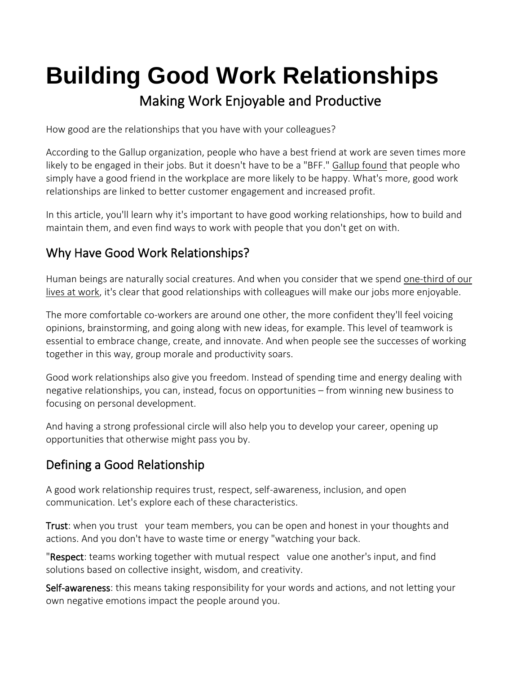# **Building Good Work Relationships** Making Work Enjoyable and Productive

How good are the relationships that you have with your colleagues?

According to the Gallup organization, people who have a best friend at work are seven times more likely to be engaged in their jobs. But it doesn't have to be a "BFF." [Gallup](https://www.gallup.com/cliftonstrengths/en/249605/having-best-friend-work-transforms-workplace.aspx) found that people who simply have a good friend in the workplace are more likely to be happy. What's more, good work relationships are linked to better customer engagement and increased profit.

In this article, you'll learn why it's important to have good working relationships, how to build and maintain them, and even find ways to work with people that you don't get on with.

# Why Have Good Work Relationships?

Human beings are naturally social creatures. And when you consider that we spend [one-third](https://www.gettysburg.edu/news/stories?id=79db7b34-630c-4f49-ad32-4ab9ea48e72b&pageTitle=1%2F3+of+your+life+is+spent+at+work) of our lives at [work,](https://www.gettysburg.edu/news/stories?id=79db7b34-630c-4f49-ad32-4ab9ea48e72b&pageTitle=1%2F3+of+your+life+is+spent+at+work) it's clear that good relationships with colleagues will make our jobs more enjoyable.

The more comfortable co-workers are around one other, the more confident they'll feel voicing opinions, brainstorming, and going along with new ideas, for example. This level of teamwork is essential to embrace change, create, and innovate. And when people see the successes of working together in this way, group morale and productivity soars.

Good work relationships also give you freedom. Instead of spending time and energy dealing with negative relationships, you can, instead, focus on opportunities – from winning new business to focusing on personal development.

And having a strong professional circle will also help you to develop your career, opening up opportunities that otherwise might pass you by.

# Defining a Good Relationship

A good work relationship requires trust, respect, self-awareness, inclusion, and open communication. Let's explore each of these characteristics.

Trust: when you [trust](https://www.mindtools.com/pages/article/newLDR_46.htm) your team members, you can be open and honest in your thoughts and actions. And you don't have to waste time or energy "watching your back.

"Respect: teams working together with [mutual](https://www.mindtools.com/pages/article/mutual-respect.htm) respect value one another's input, and find solutions based on collective insight, wisdom, and creativity.

[Self-awareness:](https://www.mindtools.com/pages/article/developing-self-awareness.htm) this means taking responsibility for your words and actions, and not letting your own negative emotions impact the people around you.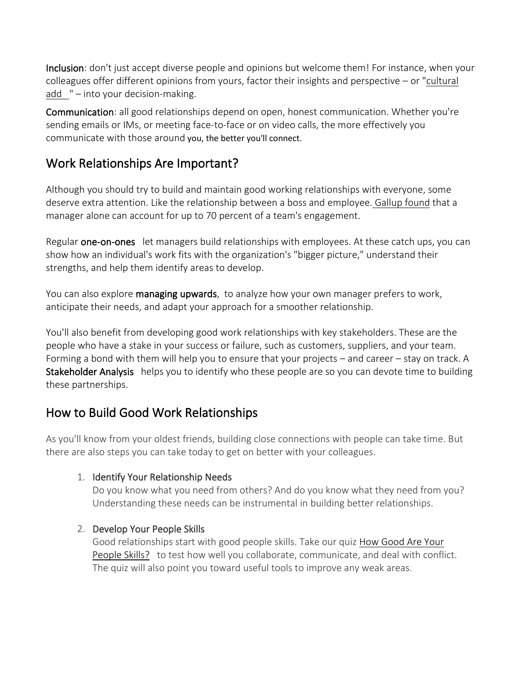Inclusion: don't just accept diverse people and opinions but welcome them! For instance, when your colleagues offer different opinions from yours, factor their insights and perspective – or ["cultural](https://www.mindtools.com/pages/article/cultural-fit.htm) [add](https://www.mindtools.com/pages/article/cultural-fit.htm) " – into your decision-making.

Communication: all good relationships depend on open, honest [communication.](https://www.mindtools.com/CommSkll/CommunicationIntro.htm) Whether you're sending emails or IMs, or meeting face-to-face or on video calls, the more effectively you communicate with those around you, the better you'll connect.

# Work Relationships Are Important?

Although you should try to build and maintain good working relationships with everyone, some deserve extra attention. Like the relationship between a boss and employee. [Gallup](https://www.gallup.com/workplace/285674/improve-employee-engagement-workplace.aspx) found that a manager alone can account for up to 70 percent of a team's engagement.

Regular [one-on-ones](https://www.mindtools.com/pages/article/great-one-on-one.htm) let managers build relationships with employees. At these catch ups, you can show how an individual's work fits with the organization's "bigger picture," understand their strengths, and help them identify areas to develop.

You can also explore [managing upwards,](https://www.mindtools.com/community/Bite-SizedTraining/ManagingUpwards.php) to analyze how your own manager prefers to work, anticipate their needs, and adapt your approach for a smoother relationship.

You'll also benefit from developing good work relationships with key stakeholders. These are the people who have a stake in your success or failure, such as customers, suppliers, and your team. Forming a bond with them will help you to ensure that your projects – and career – stay on track. A [Stakeholder Analysis](https://www.mindtools.com/pages/article/newPPM_07.htm) helps you to identify who these people are so you can devote time to building these partnerships.

# How to Build Good Work Relationships

As you'll know from your oldest friends, building close connections with people can take time. But there are also steps you can take today to get on better with your colleagues.

## 1. Identify Your Relationship Needs

Do you know what you need from others? And do you know what they need from you? Understanding these needs can be instrumental in building better relationships.

## 2. Develop Your People Skills

Good relationships start with good people skills. Take our quiz How [Good](https://www.mindtools.com/pages/article/newTMM_36.htm) Are Your [People](https://www.mindtools.com/pages/article/newTMM_36.htm) Skills? to test how well you collaborate, communicate, and deal with conflict. The quiz will also point you toward useful tools to improve any weak areas.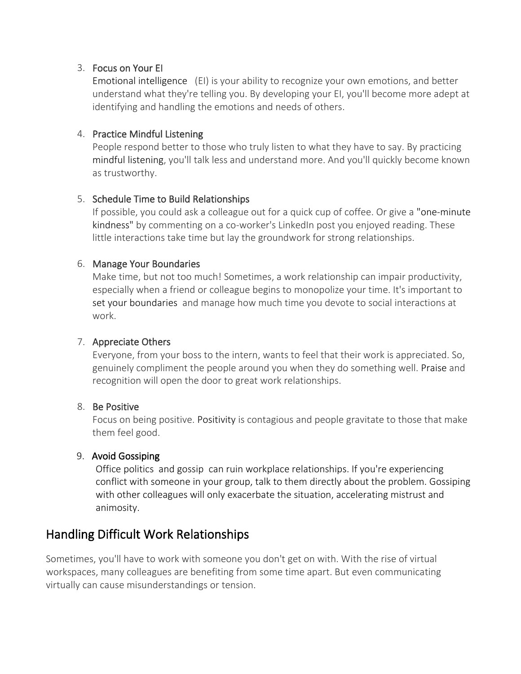#### 3. Focus on Your EI

Emotional [intelligence](https://www.mindtools.com/pages/article/newCDV_59.htm) (EI) is your ability to recognize your own emotions, and better understand what they're telling you. By developing your EI, you'll become more adept at identifying and handling the emotions and needs of others.

#### 4. Practice Mindful Listening

People respond better to those who truly listen to what they have to say. By practicing mindful [listening,](https://www.mindtools.com/pages/article/mindful-listening.htm) you'll talk less and understand more. And you'll quickly become known as trustworthy.

#### 5. Schedule Time to Build Relationships

If possible, you could ask a colleague out for a quick cup of coffee. Or give a ["one-minute](https://www.scientificamerican.com/article/how-to-prevent-loneliness-in-a-time-of-social-distancing/) [kindness"](https://www.scientificamerican.com/article/how-to-prevent-loneliness-in-a-time-of-social-distancing/) by commenting on a co-worker's LinkedIn post you enjoyed reading. These little interactions take time but lay the groundwork for strong relationships.

#### 6. Manage Your Boundaries

Make time, but not too much! Sometimes, a work relationship can impair productivity, especially when a friend or colleague begins to monopolize your time. It's important to set your [boundaries](https://www.mindtools.com/pages/article/newTCS_87.htm) and manage how much time you devote to social interactions at work.

#### 7. Appreciate Others

Everyone, from your boss to the intern, wants to feel that their work is appreciated. So, genuinely compliment the people around you when they do something well. [Praise](https://www.mindtools.com/pages/article/giving-praise.htm) and recognition will open the door to great work relationships.

#### 8. Be Positive

Focus on being positive. [Positivity](https://www.mindtools.com/pages/article/newTCS_89.htm) is contagious and people gravitate to those that make them feel good.

#### 9. Avoid Gossiping

Office [politics](https://www.mindtools.com/pages/article/newCDV_85.htm) and [gossip](https://www.mindtools.com/pages/article/newTMM_25.htm) can ruin workplace relationships. If you're experiencing conflict with someone in your group, talk to them directly about the problem. Gossiping with other colleagues will only exacerbate the situation, accelerating mistrust and animosity.

## Handling Difficult Work Relationships

Sometimes, you'll have to work with someone you don't get on with. With the rise of virtual workspaces, many colleagues are benefiting from some time apart. But even communicating virtually can cause misunderstandings or tension.